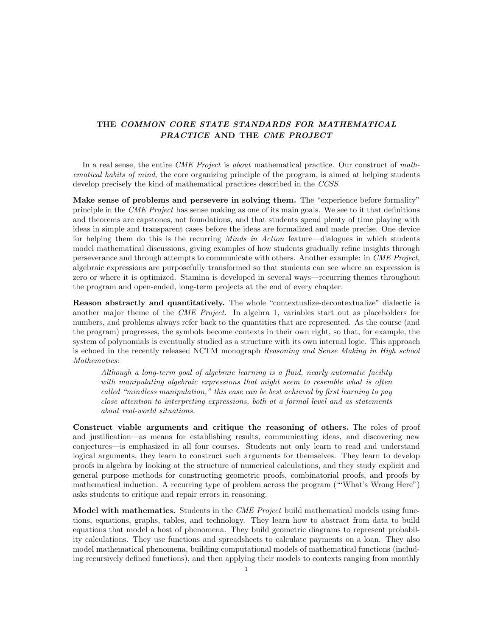## THE COMMON CORE STATE STANDARDS FOR MATHEMATICAL PRACTICE AND THE CME PROJECT

In a real sense, the entire *CME Project* is about mathematical practice. Our construct of mathematical habits of mind, the core organizing principle of the program, is aimed at helping students develop precisely the kind of mathematical practices described in the CCSS.

Make sense of problems and persevere in solving them. The "experience before formality" principle in the CME Project has sense making as one of its main goals. We see to it that definitions and theorems are capstones, not foundations, and that students spend plenty of time playing with ideas in simple and transparent cases before the ideas are formalized and made precise. One device for helping them do this is the recurring *Minds in Action* feature—dialogues in which students model mathematical discussions, giving examples of how students gradually refine insights through perseverance and through attempts to communicate with others. Another example: in CME Project, algebraic expressions are purposefully transformed so that students can see where an expression is zero or where it is optimized. Stamina is developed in several ways—recurring themes throughout the program and open-ended, long-term projects at the end of every chapter.

Reason abstractly and quantitatively. The whole "contextualize-decontextualize" dialectic is another major theme of the *CME Project*. In algebra 1, variables start out as placeholders for numbers, and problems always refer back to the quantities that are represented. As the course (and the program) progresses, the symbols become contexts in their own right, so that, for example, the system of polynomials is eventually studied as a structure with its own internal logic. This approach is echoed in the recently released NCTM monograph Reasoning and Sense Making in High school Mathematics:

Although a long-term goal of algebraic learning is a fluid, nearly automatic facility with manipulating algebraic expressions that might seem to resemble what is often called "mindless manipulation," this ease can be best achieved by first learning to pay close attention to interpreting expressions, both at a formal level and as statements about real-world situations.

Construct viable arguments and critique the reasoning of others. The roles of proof and justification—as means for establishing results, communicating ideas, and discovering new conjectures—is emphasized in all four courses. Students not only learn to read and understand logical arguments, they learn to construct such arguments for themselves. They learn to develop proofs in algebra by looking at the structure of numerical calculations, and they study explicit and general purpose methods for constructing geometric proofs, combinatorial proofs, and proofs by mathematical induction. A recurring type of problem across the program ("'What's Wrong Here") asks students to critique and repair errors in reasoning.

Model with mathematics. Students in the *CME Project* build mathematical models using functions, equations, graphs, tables, and technology. They learn how to abstract from data to build equations that model a host of phenomena. They build geometric diagrams to represent probability calculations. They use functions and spreadsheets to calculate payments on a loan. They also model mathematical phenomena, building computational models of mathematical functions (including recursively defined functions), and then applying their models to contexts ranging from monthly